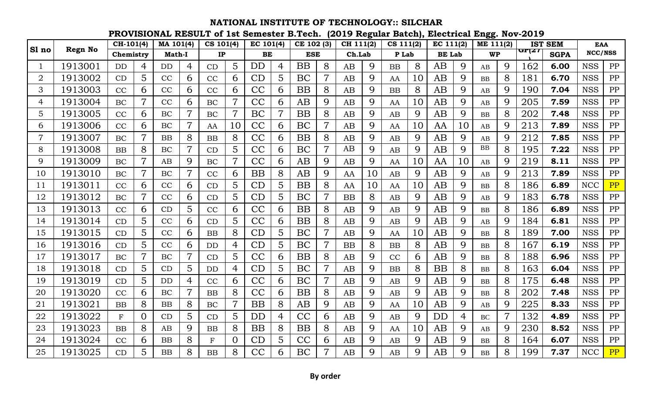|                |                | CH-101(4) |                | MA 101(4) |                | CS 101(4)     |                | EC 101(4) |   | CE 102 (3) |                | CH 111(2) |             | CS 111(2) |    | EC 111(2)     |             | ME 111(2) |   |       | <b>IST SEM</b> | <b>EAA</b> |    |
|----------------|----------------|-----------|----------------|-----------|----------------|---------------|----------------|-----------|---|------------|----------------|-----------|-------------|-----------|----|---------------|-------------|-----------|---|-------|----------------|------------|----|
| Sl no          | <b>Regn No</b> | Chemistry |                | Math-I    |                | $\mathbf{IP}$ |                | BE        |   | <b>ESE</b> |                | Ch.Lab    |             | P Lab     |    | <b>BE</b> Lab |             | <b>WP</b> |   | GP(27 | <b>SGPA</b>    | NCC/NSS    |    |
|                | 1913001        | <b>DD</b> | 4              | <b>DD</b> | $\overline{4}$ | CD            | $\overline{5}$ | <b>DD</b> | 4 | <b>BB</b>  | 8              | AB        | 9           | <b>BB</b> | 8  | AB            | 9           | AB        | 9 | 162   | 6.00           | <b>NSS</b> | PP |
| 2              | 1913002        | CD        | 5              | CC        | 6              | CC            | 6              | CD        | 5 | BC         | $\overline{7}$ | AB        | 9           | AA        | 10 | AB            | 9           | <b>BB</b> | 8 | 181   | 6.70           | <b>NSS</b> | PP |
| 3              | 1913003        | CC        | 6              | CC        | 6              | CC            | 6              | CC        | 6 | <b>BB</b>  | 8              | AB        | 9           | BB        | 8  | AB            | 9           | AB        | 9 | 190   | 7.04           | <b>NSS</b> | PP |
| 4              | 1913004        | BC        | 7              | CC        | 6              | BC            | $\overline{7}$ | CC        | 6 | AB         | 9              | AB        | 9           | AA        | 10 | AB            | 9           | AB        | 9 | 205   | 7.59           | <b>NSS</b> | PP |
| 5              | 1913005        | CC        | 6              | BC        | $\overline{7}$ | <b>BC</b>     | $\overline{7}$ | BC        | 7 | <b>BB</b>  | 8              | AB        | 9           | AB        | 9  | AB            | 9           | <b>BB</b> | 8 | 202   | 7.48           | <b>NSS</b> | PP |
| 6              | 1913006        | CC        | 6              | BC        | $\overline{7}$ | AA            | 10             | CC        | 6 | BC         |                | AB        | 9           | AA        | 10 | AA            | 10          | AB        | 9 | 213   | 7.89           | <b>NSS</b> | PP |
| $\overline{7}$ | 1913007        | BC        |                | BB        | 8              | BB            | 8              | CC        | 6 | <b>BB</b>  | 8              | AB        | 9           | AB        | 9  | AB            | 9           | AB        | 9 | 212   | 7.85           | <b>NSS</b> | PP |
| 8              | 1913008        | BB        | 8              | BC        | $\overline{7}$ | CD            | 5              | CC        | 6 | BC         | $\overline{7}$ | AB        | 9           | AB        | 9  | AB            | 9           | <b>BB</b> | 8 | 195   | 7.22           | <b>NSS</b> | PP |
| 9              | 1913009        | BC        |                | AB        | 9              | <b>BC</b>     | $\overline{7}$ | CC        | 6 | AB         | 9              | AB        | 9           | AA        | 10 | AA            | 10          | AB        | 9 | 219   | 8.11           | <b>NSS</b> | PP |
| 10             | 1913010        | BC        | $\overline{7}$ | BC        | $\overline{7}$ | CC            | 6              | <b>BB</b> | 8 | AB         | 9              | AA        | 10          | AB        | 9  | AB            | 9           | AB        | 9 | 213   | 7.89           | <b>NSS</b> | PP |
| 11             | 1913011        | CC        | 6              | CC        | 6              | CD            | 5              | CD        | 5 | <b>BB</b>  | 8              | AA        | 10          | AA        | 10 | AB            | 9           | <b>BB</b> | 8 | 186   | 6.89           | <b>NCC</b> | PP |
| 12             | 1913012        | BC        |                | CC        | 6              | CD            | 5              | CD        | 5 | BC         | $\overline{7}$ | <b>BB</b> | 8           | AB        | 9  | AB            | 9           | AB        | 9 | 183   | 6.78           | <b>NSS</b> | PP |
| 13             | 1913013        | CC        | 6              | CD        | 5              | CC            | 6              | CC        | 6 | <b>BB</b>  | 8              | AB        | 9           | AB        | 9  | AB            | 9           | <b>BB</b> | 8 | 186   | 6.89           | <b>NSS</b> | PP |
| 14             | 1913014        | CD        | 5              | CC        | 6              | CD            | 5              | CC        | 6 | <b>BB</b>  | 8              | AB        | 9           | AB        | 9  | AB            | 9           | AB        | 9 | 184   | 6.81           | <b>NSS</b> | PP |
| 15             | 1913015        | CD        | 5              | CC        | 6              | <b>BB</b>     | 8              | CD        | 5 | BC         | 7              | AB        | 9           | AA        | 10 | AB            | 9           | <b>BB</b> | 8 | 189   | 7.00           | <b>NSS</b> | PP |
| 16             | 1913016        | CD        | 5              | CC        | 6              | <b>DD</b>     | 4              | CD        | 5 | BC         |                | <b>BB</b> | 8           | <b>BB</b> | 8  | AB            | 9           | <b>BB</b> | 8 | 167   | 6.19           | <b>NSS</b> | PP |
| 17             | 1913017        | BC        | 7              | BC        | $\overline{7}$ | CD            | 5              | CC        | 6 | <b>BB</b>  | 8              | AB        | 9           | CC        | 6  | AB            | 9           | <b>BB</b> | 8 | 188   | 6.96           | <b>NSS</b> | PP |
| 18             | 1913018        | CD        | 5              | CD        | 5              | <b>DD</b>     | 4              | CD        | 5 | BC         | $\overline{7}$ | AB        | 9           | BB        | 8  | <b>BB</b>     | 8           | <b>BB</b> | 8 | 163   | 6.04           | <b>NSS</b> | PP |
| 19             | 1913019        | CD        | 5              | <b>DD</b> | $\overline{4}$ | CC            | 6              | CC        | 6 | BC         | $\overline{7}$ | AB        | 9           | AB        | 9  | AB            | 9           | <b>BB</b> | 8 | 175   | 6.48           | <b>NSS</b> | PP |
| 20             | 1913020        | CC        | 6              | BC        | $\overline{7}$ | BB            | 8              | CC        | 6 | <b>BB</b>  | 8              | AB        | 9           | AB        | 9  | AB            | 9           | <b>BB</b> | 8 | 202   | 7.48           | <b>NSS</b> | PP |
| 21             | 1913021        | <b>BB</b> | 8              | BB        | 8              | BC            | $\overline{7}$ | <b>BB</b> | 8 | AB         | 9              | AB        | 9           | AA        | 10 | AB            | 9           | AB        | 9 | 225   | 8.33           | <b>NSS</b> | PP |
| 22             | 1913022        | $F_{\rm}$ | $\Omega$       | CD        | 5              | CD            | 5              | <b>DD</b> | 4 | CC         | 6              | AB        | 9           | AB        | 9  | DD            | 4           | <b>BC</b> | 7 | 132   | 4.89           | <b>NSS</b> | PP |
| 23             | 1913023        | <b>BB</b> | 8              | AB        | 9              | BB            | 8              | <b>BB</b> | 8 | <b>BB</b>  | 8              | AB        | 9           | AA        | 10 | AB            | 9           | AB        | 9 | 230   | 8.52           | <b>NSS</b> | PP |
| 24             | 1913024        | CC        | 6              | BB        | 8              | $\mathbf{F}$  | $\overline{O}$ | CD        | 5 | CC         | 6              | AB        | 9           | AB        | 9  | AB            | 9           | <b>BB</b> | 8 | 164   | 6.07           | <b>NSS</b> | PP |
| 25             | 1913025        | CD        | 5              | <b>BB</b> | 8              | BB            | 8              | CC        | 6 | BC         |                | AB        | $\mathbf Q$ | AB        | 9  | AB            | $\mathbf Q$ | <b>BB</b> | 8 | 199   | 7.37           | <b>NCC</b> | PP |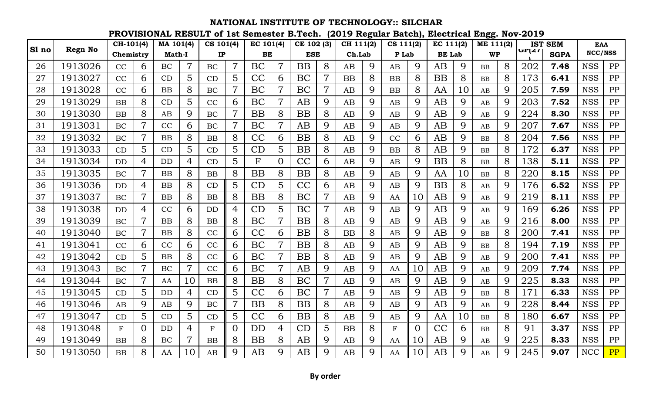**PROVISIONAL RESULT of 1st Semester B.Tech. (2019 Regular Batch), Electrical Engg. Nov-2019**

|       |                | CH-101(4) |                | MA 101(4)     |                | CS 101(4)     |                | EC 101(4)    |                | CE 102 (3) |                | CH 111(2) |   | CS 111(2)   |    | EC 111(2)     |             | ME 111(2) |   |       | <b>IST SEM</b> | <b>EAA</b> |            |
|-------|----------------|-----------|----------------|---------------|----------------|---------------|----------------|--------------|----------------|------------|----------------|-----------|---|-------------|----|---------------|-------------|-----------|---|-------|----------------|------------|------------|
| Sl no | <b>Regn No</b> | Chemistry |                | <b>Math-I</b> |                | $\mathbf{IP}$ |                | BE           |                | <b>ESE</b> |                | Ch.Lab    |   | P Lab       |    | <b>BE</b> Lab |             | <b>WP</b> |   | GP(27 | <b>SGPA</b>    | NCC/NSS    |            |
| 26    | 1913026        | CC        | 6              | <b>BC</b>     | $\overline{7}$ | BC            | $\overline{7}$ | BC           | $\overline{7}$ | <b>BB</b>  | 8              | AB        | 9 | AB          | 9  | AB            | 9           | <b>BB</b> | 8 | 202   | 7.48           | <b>NSS</b> | PP         |
| 27    | 1913027        | CC        | 6              | CD            | 5              | CD            | 5              | CC           | 6              | BC         | $\overline{7}$ | <b>BB</b> | 8 | BB          | 8  | <b>BB</b>     | 8           | <b>BB</b> | 8 | 173   | 6.41           | <b>NSS</b> | PP         |
| 28    | 1913028        | CC        | 6              | <b>BB</b>     | 8              | BC            | $\overline{7}$ | BC           |                | BC         | $\overline{7}$ | AB        | 9 | <b>BB</b>   | 8  | AA            | 10          | AB        | 9 | 205   | 7.59           | <b>NSS</b> | PP         |
| 29    | 1913029        | <b>BB</b> | 8              | CD            | 5              | CC            | 6              | BC           | $\overline{7}$ | AB         | 9              | AB        | 9 | AB          | 9  | AB            | 9           | AB        | 9 | 203   | 7.52           | <b>NSS</b> | PP         |
| 30    | 1913030        | BB        | 8              | AB            | 9              | <b>BC</b>     | $\overline{7}$ | <b>BB</b>    | 8              | <b>BB</b>  | 8              | AB        | 9 | AB          | 9  | AB            | 9           | AB        | 9 | 224   | 8.30           | <b>NSS</b> | PP         |
| 31    | 1913031        | BC        |                | CC            | 6              | BC            | $\overline{7}$ | BC           | 7              | AB         | 9              | AB        | 9 | AB          | 9  | AB            | 9           | AB        | 9 | 207   | 7.67           | <b>NSS</b> | PP         |
| 32    | 1913032        | BC        | 7              | BB            | 8              | BB            | 8              | CC           | 6              | <b>BB</b>  | 8              | AB        | 9 | CC          | 6  | AB            | 9           | <b>BB</b> | 8 | 204   | 7.56           | <b>NSS</b> | PP         |
| 33    | 1913033        | CD        | 5              | CD            | 5              | CD            | 5              | CD           | 5              | <b>BB</b>  | 8              | AB        | 9 | <b>BB</b>   | 8  | AB            | 9           | <b>BB</b> | 8 | 172   | 6.37           | <b>NSS</b> | PP         |
| 34    | 1913034        | <b>DD</b> | 4              | <b>DD</b>     | 4              | CD            | 5              | $\mathbf{F}$ | 0              | CC         | 6              | AB        | 9 | AB          | 9  | <b>BB</b>     | 8           | <b>BB</b> | 8 | 138   | 5.11           | <b>NSS</b> | PP         |
| 35    | 1913035        | BC        | $\overline{7}$ | BB            | 8              | <b>BB</b>     | 8              | <b>BB</b>    | 8              | <b>BB</b>  | 8              | AB        | 9 | AB          | 9  | AA            | 10          | <b>BB</b> | 8 | 220   | 8.15           | <b>NSS</b> | PP         |
| 36    | 1913036        | <b>DD</b> | 4              | BB            | 8              | CD            | $\overline{5}$ | CD           | 5              | CC         | 6              | AB        | 9 | AB          | 9  | <b>BB</b>     | 8           | AB        | 9 | 176   | 6.52           | <b>NSS</b> | ${\rm PP}$ |
| 37    | 1913037        | BC        |                | BB            | 8              | BB            | 8              | <b>BB</b>    | 8              | BC         | $\overline{7}$ | AB        | 9 | AA          | 10 | AB            | 9           | AB        | 9 | 219   | 8.11           | <b>NSS</b> | PP         |
| 38    | 1913038        | <b>DD</b> | $\overline{4}$ | CC            | 6              | <b>DD</b>     | $\overline{4}$ | CD           | 5              | BC         | $\overline{7}$ | AB        | 9 | AB          | 9  | AB            | $\mathbf Q$ | AB        | 9 | 169   | 6.26           | <b>NSS</b> | PP         |
| 39    | 1913039        | BC        | 7              | <b>BB</b>     | 8              | <b>BB</b>     | 8              | BC           | $\overline{7}$ | <b>BB</b>  | 8              | AB        | 9 | AB          | 9  | AB            | 9           | AB        | 9 | 216   | 8.00           | <b>NSS</b> | PP         |
| 40    | 1913040        | BC        | 7              | BB            | 8              | CC            | 6              | CC           | 6              | <b>BB</b>  | 8              | <b>BB</b> | 8 | AB          | 9  | AB            | 9           | <b>BB</b> | 8 | 200   | 7.41           | <b>NSS</b> | ${\rm PP}$ |
| 41    | 1913041        | CC        | 6              | CC            | 6              | CC            | 6              | BC           |                | <b>BB</b>  | 8              | AB        | 9 | AB          | 9  | AB            | 9           | <b>BB</b> | 8 | 194   | 7.19           | <b>NSS</b> | PP         |
| 42    | 1913042        | CD        | 5              | BB            | 8              | CC            | 6              | BC           |                | <b>BB</b>  | 8              | AB        | 9 | AB          | 9  | AB            | 9           | AB        | 9 | 200   | 7.41           | <b>NSS</b> | PP         |
| 43    | 1913043        | BC        | 7              | <b>BC</b>     | $\overline{7}$ | CC            | 6              | BC           |                | AB         | 9              | AB        | 9 | AA          | 10 | AB            | 9           | AB        | 9 | 209   | 7.74           | <b>NSS</b> | PP         |
| 44    | 1913044        | BC        |                | AA            | 10             | <b>BB</b>     | 8              | <b>BB</b>    | 8              | BC         | $\overline{7}$ | AB        | 9 | AB          | 9  | AB            | 9           | AB        | 9 | 225   | 8.33           | <b>NSS</b> | PP         |
| 45    | 1913045        | CD        | 5              | <b>DD</b>     | $\overline{4}$ | CD            | 5              | CC           | 6              | BC         | $\overline{7}$ | AB        | 9 | AB          | 9  | AB            | 9           | <b>BB</b> | 8 | 171   | 6.33           | <b>NSS</b> | PP         |
| 46    | 1913046        | AB        | 9              | AB            | 9              | BC            | $\overline{7}$ | <b>BB</b>    | 8              | <b>BB</b>  | 8              | AB        | 9 | AB          | 9  | AB            | 9           | AB        | 9 | 228   | 8.44           | <b>NSS</b> | PP         |
| 47    | 1913047        | CD        | 5              | CD            | 5              | CD            | 5              | CC           | 6              | <b>BB</b>  | 8              | AB        | 9 | AB          | 9  | AA            | 10          | <b>BB</b> | 8 | 180   | 6.67           | <b>NSS</b> | PP         |
| 48    | 1913048        | F         | $\Omega$       | DD            | $\overline{4}$ | $\mathbf{F}$  | $\overline{0}$ | <b>DD</b>    | 4              | CD         | 5              | <b>BB</b> | 8 | $\mathbf F$ | 0  | CC            | 6           | <b>BB</b> | 8 | 91    | 3.37           | <b>NSS</b> | PP         |
| 49    | 1913049        | BB        | 8              | BC            | $\overline{7}$ | <b>BB</b>     | 8              | <b>BB</b>    | 8              | AB         | 9              | AB        | 9 | AA          | 10 | AB            | 9           | AB        | 9 | 225   | 8.33           | <b>NSS</b> | PP         |
| 50    | 1913050        | BB        | 8              | AA            | 10             | AB            | 9              | AB           | 9              | AB         | 9              | AB        | 9 | AA          | 10 | AB            | $\mathbf Q$ | AB        | 9 | 245   | 9.07           | <b>NCC</b> | PP         |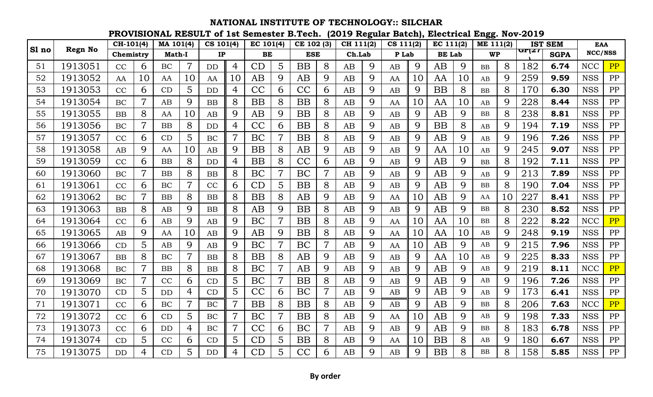|       |                | CH-101(4) |                | MA 101(4) |                | CS 101(4)      |                | EC 101(4) |                | CE 102 (3) |                | CH 111(2) |             | CS 111(2) |    | EC 111(2)     |    | ME 111(2) |    |       | <b>IST SEM</b> | <b>EAA</b> |    |
|-------|----------------|-----------|----------------|-----------|----------------|----------------|----------------|-----------|----------------|------------|----------------|-----------|-------------|-----------|----|---------------|----|-----------|----|-------|----------------|------------|----|
| Sl no | <b>Regn No</b> | Chemistry |                | Math-I    |                | $\mathbf{IP}$  |                | BE        |                | <b>ESE</b> |                | Ch.Lab    |             | P Lab     |    | <b>BE Lab</b> |    | <b>WP</b> |    | GP(27 | <b>SGPA</b>    | NCC/NSS    |    |
| 51    | 1913051        | CC        | 6              | BC        | $\overline{7}$ | D <sub>D</sub> | $\overline{4}$ | CD        | 5              | <b>BB</b>  | 8              | AB        | 9           | AB        | 9  | AB            | 9  | BB        | 8  | 182   | 6.74           | <b>NCC</b> | PP |
| 52    | 1913052        | AA        | 10             | AA        | 10             | AA             | 10             | AB        | 9              | AB         | 9              | AB        | 9           | AA        | 10 | AA            | 10 | AB        | 9  | 259   | 9.59           | <b>NSS</b> | PP |
| 53    | 1913053        | CC        | 6              | CD        | 5              | <b>DD</b>      | $\overline{4}$ | CC        | 6              | CC         | 6              | AB        | 9           | AB        | 9  | <b>BB</b>     | 8  | BB        | 8  | 170   | 6.30           | <b>NSS</b> | PP |
| 54    | 1913054        | <b>BC</b> | $\overline{7}$ | AB        | 9              | BB             | 8              | <b>BB</b> | 8              | <b>BB</b>  | 8              | AB        | 9           | AA        | 10 | AA            | 10 | AB        | 9  | 228   | 8.44           | <b>NSS</b> | PP |
| 55    | 1913055        | <b>BB</b> | 8              | AA        | 10             | AB             | 9              | AB        | 9              | <b>BB</b>  | 8              | AB        | 9           | AB        | 9  | AB            | 9  | <b>BB</b> | 8  | 238   | 8.81           | <b>NSS</b> | PP |
| 56    | 1913056        | <b>BC</b> |                | BB        | 8              | <b>DD</b>      | 4              | CC        | 6              | <b>BB</b>  | 8              | AB        | 9           | AB        | 9  | <b>BB</b>     | 8  | AB        | 9  | 194   | 7.19           | <b>NSS</b> | PP |
| 57    | 1913057        | CC        | 6              | CD        | 5              | BC             | $\overline{7}$ | BC        |                | <b>BB</b>  | 8              | AB        | 9           | AB        | 9  | AB            | 9  | AB        | 9  | 196   | 7.26           | <b>NSS</b> | PP |
| 58    | 1913058        | AB        | $\mathbf Q$    | AA        | 10             | AB             | 9              | <b>BB</b> | 8              | AB         | 9              | AB        | 9           | AB        | 9  | AA            | 10 | AB        | 9  | 245   | 9.07           | <b>NSS</b> | PP |
| 59    | 1913059        | CC        | 6              | BB        | 8              | <b>DD</b>      | $\overline{4}$ | <b>BB</b> | 8              | CC         | 6              | AB        | 9           | AB        | 9  | AB            | 9  | <b>BB</b> | 8  | 192   | 7.11           | <b>NSS</b> | PP |
| 60    | 1913060        | <b>BC</b> | $\overline{7}$ | BB        | 8              | <b>BB</b>      | 8              | BC        | $\overline{7}$ | <b>BC</b>  | $\overline{7}$ | AB        | 9           | AB        | 9  | AB            | 9  | AB        | 9  | 213   | 7.89           | <b>NSS</b> | PP |
| 61    | 1913061        | CC        | 6              | BC        | $\overline{7}$ | CC             | 6              | CD        | 5              | <b>BB</b>  | 8              | AB        | 9           | AB        | 9  | AB            | 9  | <b>BB</b> | 8  | 190   | 7.04           | <b>NSS</b> | PP |
| 62    | 1913062        | <b>BC</b> | 7              | <b>BB</b> | 8              | <b>BB</b>      | 8              | <b>BB</b> | 8              | AB         | 9              | AB        | 9           | AA        | 10 | AB            | 9  | AA        | 10 | 227   | 8.41           | <b>NSS</b> | PP |
| 63    | 1913063        | BB        | 8              | AB        | 9              | <b>BB</b>      | 8              | AB        | 9              | <b>BB</b>  | 8              | AB        | 9           | AB        | 9  | AB            | 9  | <b>BB</b> | 8  | 230   | 8.52           | <b>NSS</b> | PP |
| 64    | 1913064        | CC        | 6              | AB        | 9              | AB             | 9              | BC        |                | <b>BB</b>  | 8              | AB        | 9           | AA        | 10 | AA            | 10 | <b>BB</b> | 8  | 222   | 8.22           | <b>NCC</b> | PP |
| 65    | 1913065        | AB        | 9              | AA        | 10             | AB             | 9              | AB        | 9              | <b>BB</b>  | 8              | AB        | 9           | AA        | 10 | AA            | 10 | AB        | 9  | 248   | 9.19           | <b>NSS</b> | PP |
| 66    | 1913066        | CD        | 5              | AB        | 9              | AB             | 9              | BC        |                | BC         |                | AB        | 9           | AA        | 10 | AB            | 9  | AB        | 9  | 215   | 7.96           | <b>NSS</b> | PP |
| 67    | 1913067        | <b>BB</b> | 8              | BC        | $\overline{7}$ | <b>BB</b>      | 8              | <b>BB</b> | 8              | AB         | 9              | AB        | 9           | AB        | 9  | AA            | 10 | AB        | 9  | 225   | 8.33           | <b>NSS</b> | PP |
| 68    | 1913068        | <b>BC</b> | $\overline{7}$ | <b>BB</b> | 8              | <b>BB</b>      | 8              | BC        |                | AB         | 9              | AB        | 9           | AB        | 9  | AB            | 9  | AB        | 9  | 219   | 8.11           | <b>NCC</b> | PP |
| 69    | 1913069        | BC        |                | CC        | 6              | CD             | 5              | BC        |                | <b>BB</b>  | 8              | AB        | 9           | AB        | 9  | AB            | 9  | AB        | 9  | 196   | 7.26           | <b>NSS</b> | PP |
| 70    | 1913070        | CD        | 5              | <b>DD</b> | 4              | CD             | 5              | CC        | 6              | BC         |                | AB        | 9           | AB        | 9  | AB            | 9  | AB        | 9  | 173   | 6.41           | <b>NSS</b> | PP |
| 71    | 1913071        | CC        | 6              | BC        | $\overline{7}$ | BC             | $\overline{7}$ | <b>BB</b> | 8              | <b>BB</b>  | 8              | AB        | 9           | AB        | 9  | AB            | 9  | <b>BB</b> | 8  | 206   | 7.63           | <b>NCC</b> | PP |
| 72    | 1913072        | CC        | 6              | CD        | 5              | BC             | $\overline{7}$ | BC        |                | <b>BB</b>  | 8              | AB        | 9           | AA        | 10 | AB            | 9  | AB        | 9  | 198   | 7.33           | <b>NSS</b> | PP |
| 73    | 1913073        | CC        | 6              | <b>DD</b> | $\overline{4}$ | <b>BC</b>      | $\overline{7}$ | CC        | 6              | BC         |                | AB        | 9           | AB        | 9  | AB            | 9  | <b>BB</b> | 8  | 183   | 6.78           | <b>NSS</b> | PP |
| 74    | 1913074        | CD        | 5              | CC        | 6              | CD             | 5              | CD        | 5              | <b>BB</b>  | 8              | AB        | 9           | AA        | 10 | <b>BB</b>     | 8  | AB        | 9  | 180   | 6.67           | <b>NSS</b> | PP |
| 75    | 1913075        | DD        | $\overline{4}$ | CD        | 5              | <b>DD</b>      | $\overline{4}$ | CD        | 5.             | CC         | 6              | AB        | $\mathbf Q$ | AB        | 9  | <b>BB</b>     | 8  | <b>BB</b> | 8  | 158   | 5.85           | <b>NSS</b> | PP |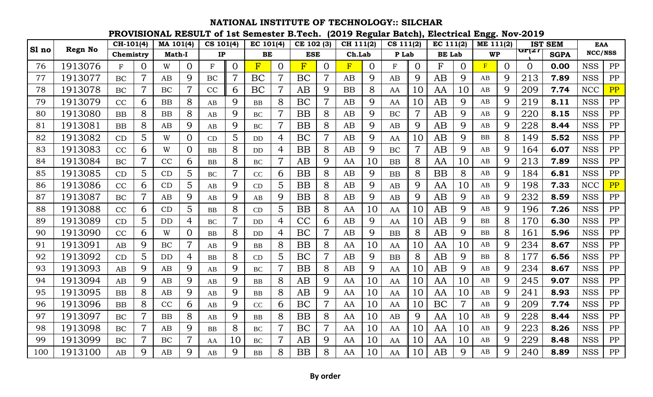|       |                | CH-101(4) |                | MA 101(4)     |                | CS 101(4)     |                | EC 101(4)               |                | CE 102 (3)     |                | CH 111(2) |          | CS 111(2) |                | EC 111(2)     |          | ME 111(2) |             |       | <b>IST SEM</b> | <b>EAA</b> |    |
|-------|----------------|-----------|----------------|---------------|----------------|---------------|----------------|-------------------------|----------------|----------------|----------------|-----------|----------|-----------|----------------|---------------|----------|-----------|-------------|-------|----------------|------------|----|
| Sl no | <b>Regn No</b> | Chemistry |                | <b>Math-I</b> |                | $\mathbf{IP}$ |                | BE                      |                | <b>ESE</b>     |                | Ch.Lab    |          | P Lab     |                | <b>BE</b> Lab |          | <b>WP</b> |             | GP(27 | <b>SGPA</b>    | NCC/NSS    |    |
| 76    | 1913076        | F         | $\overline{0}$ | W             | $\overline{0}$ | $\mathbf F$   | $\overline{O}$ | $\overline{\mathrm{F}}$ | $\Omega$       | $\overline{F}$ | $\Omega$       | F         | $\Omega$ | F         | $\Omega$       | F             | $\Omega$ | F         | $\Omega$    | 0     | 0.00           | <b>NSS</b> | PP |
| 77    | 1913077        | BC        | $\overline{7}$ | AB            | 9              | <b>BC</b>     | $\overline{7}$ | BC                      | 7              | BC             | $\overline{7}$ | AB        | 9        | AB        | 9              | AB            | 9        | AB        | 9           | 213   | 7.89           | <b>NSS</b> | PP |
| 78    | 1913078        | <b>BC</b> | $\overline{7}$ | <b>BC</b>     | $\overline{7}$ | CC            | 6              | BC                      | 7              | AB             | 9              | <b>BB</b> | 8        | AA        | 10             | AA            | 10       | AB        | 9           | 209   | 7.74           | <b>NCC</b> | PP |
| 79    | 1913079        | CC        | 6              | <b>BB</b>     | 8              | AB            | 9              | <b>BB</b>               | 8              | BC             | $\overline{7}$ | AB        | 9        | AA        | 10             | AB            | 9        | AB        | 9           | 219   | 8.11           | <b>NSS</b> | PP |
| 80    | 1913080        | <b>BB</b> | 8              | <b>BB</b>     | 8              | AB            | 9              | <b>BC</b>               |                | <b>BB</b>      | 8              | AB        | 9        | BC        | $\overline{7}$ | AB            | 9        | AB        | 9           | 220   | 8.15           | <b>NSS</b> | PP |
| 81    | 1913081        | <b>BB</b> | 8              | AB            | 9              | AB            | 9              | <b>BC</b>               |                | <b>BB</b>      | 8              | AB        | 9        | AB        | 9              | AB            | 9        | AB        | 9           | 228   | 8.44           | <b>NSS</b> | PP |
| 82    | 1913082        | CD        | 5              | W             | $\Omega$       | CD            | 5              | <b>DD</b>               | 4              | BC             | $\overline{7}$ | AB        | 9        | AA        | 10             | AB            | 9        | BB        | 8           | 149   | 5.52           | <b>NSS</b> | PP |
| 83    | 1913083        | CC        | 6              | W             | $\Omega$       | <b>BB</b>     | 8              | <b>DD</b>               | 4              | <b>BB</b>      | 8              | AB        | 9        | BC        |                | AB            | 9        | AB        | 9           | 164   | 6.07           | <b>NSS</b> | PP |
| 84    | 1913084        | BC        | $\overline{7}$ | CC            | 6              | <b>BB</b>     | 8              | <b>BC</b>               | $\overline{7}$ | AB             | 9              | AA        | 10       | BB        | 8              | AA            | 10       | AB        | 9           | 213   | 7.89           | <b>NSS</b> | PP |
| 85    | 1913085        | CD        | 5              | CD            | $\overline{5}$ | <b>BC</b>     | $\overline{7}$ | CC                      | 6              | <b>BB</b>      | 8              | AB        | 9        | BB        | 8              | <b>BB</b>     | 8        | AB        | 9           | 184   | 6.81           | <b>NSS</b> | PP |
| 86    | 1913086        | CC        | 6              | CD            | 5              | AB            | 9              | CD                      | 5              | <b>BB</b>      | 8              | AB        | 9        | AB        | 9              | AA            | 10       | AB        | 9           | 198   | 7.33           | <b>NCC</b> | PP |
| 87    | 1913087        | BC        | $\overline{7}$ | AB            | 9              | AB            | 9              | AB                      | 9              | <b>BB</b>      | 8              | AB        | 9        | AB        | 9              | AB            | 9        | AB        | 9           | 232   | 8.59           | <b>NSS</b> | PP |
| 88    | 1913088        | CC        | 6              | CD            | 5              | <b>BB</b>     | 8              | CD                      | 5              | <b>BB</b>      | 8              | AA        | 10       | AA        | 10             | AB            | 9        | AB        | 9           | 196   | 7.26           | <b>NSS</b> | PP |
| 89    | 1913089        | CD        | $\overline{5}$ | <b>DD</b>     | $\overline{4}$ | <b>BC</b>     | $\overline{7}$ | DD                      | 4              | CC             | 6              | AB        | 9        | AA        | 10             | AB            | 9        | <b>BB</b> | 8           | 170   | 6.30           | <b>NSS</b> | PP |
| 90    | 1913090        | CC        | 6              | W             | $\overline{0}$ | BB            | 8              | <b>DD</b>               | 4              | BC             | $\overline{7}$ | AB        | 9        | BB        | 8              | AB            | 9        | <b>BB</b> | 8           | 161   | 5.96           | <b>NSS</b> | PP |
| 91    | 1913091        | AB        | 9              | BC            | $\overline{7}$ | AB            | 9              | <b>BB</b>               | 8              | <b>BB</b>      | 8              | AA        | 10       | AA        | 10             | AA            | 10       | AB        | 9           | 234   | 8.67           | <b>NSS</b> | PP |
| 92    | 1913092        | CD        | 5              | DD            | $\overline{4}$ | <b>BB</b>     | 8              | CD                      | 5              | BC             | $\overline{7}$ | AB        | 9        | BB        | 8              | AB            | 9        | BB        | 8           | 177   | 6.56           | <b>NSS</b> | PP |
| 93    | 1913093        | AB        | 9              | AB            | 9              | AB            | 9              | <b>BC</b>               | $\overline{7}$ | <b>BB</b>      | 8              | AB        | 9        | AA        | 10             | AB            | 9        | AB        | 9           | 234   | 8.67           | <b>NSS</b> | PP |
| 94    | 1913094        | AB        | 9              | AB            | 9              | AB            | 9              | <b>BB</b>               | 8              | AB             | 9              | AA        | 10       | AA        | 10             | AA            | 10       | AB        | 9           | 245   | 9.07           | <b>NSS</b> | PP |
| 95    | 1913095        | <b>BB</b> | 8              | AB            | 9              | AB            | 9              | BB                      | 8              | AB             | 9              | AA        | 10       | AA        | 10             | AA            | 10       | AB        | 9           | 241   | 8.93           | <b>NSS</b> | PP |
| 96    | 1913096        | <b>BB</b> | 8              | CC            | 6              | AB            | 9              | CC                      | 6              | BC             |                | AA        | 10       | AA        | 10             | BC            |          | AB        | 9           | 209   | 7.74           | <b>NSS</b> | PP |
| 97    | 1913097        | BC        | $\overline{7}$ | <b>BB</b>     | 8              | AB            | 9              | <b>BB</b>               | 8              | <b>BB</b>      | 8              | AA        | 10       | AB        | 9              | AA            | 10       | AB        | 9           | 228   | 8.44           | <b>NSS</b> | PP |
| 98    | 1913098        | BC        | $\overline{7}$ | AB            | 9              | <b>BB</b>     | 8              | <b>BC</b>               | $\overline{7}$ | BC             |                | AA        | 10       | AA        | 10             | AA            | 10       | AB        | 9           | 223   | 8.26           | <b>NSS</b> | PP |
| 99    | 1913099        | <b>BC</b> | $\overline{7}$ | BC            | $\overline{7}$ | AA            | 10             | <b>BC</b>               | $\overline{7}$ | AB             | 9              | AA        | 10       | AA        | 10             | AA            | 10       | AB        | 9           | 229   | 8.48           | <b>NSS</b> | PP |
| 100   | 1913100        | AB        | 9              | AB            | 9              | AB            | 9              | <b>BB</b>               | 8              | <b>BB</b>      | 8              | AA        | 10       | AA        | 10             | AB            | 9        | AB        | $\mathbf Q$ | 240   | 8.89           | <b>NSS</b> | PP |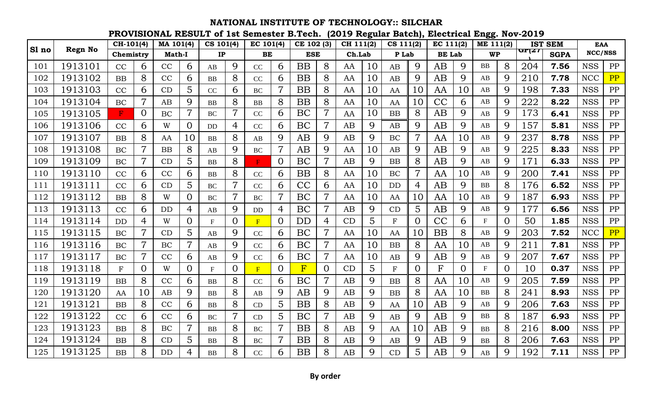**PROVISIONAL RESULT of 1st Semester B.Tech. (2019 Regular Batch), Electrical Engg. Nov-2019**

|       |                | $\overline{CH}$ -101(4) |                | MA 101(4)     |                | CS 101(4)     |                | EC 101(4) |                | CE 102 (3) |                | CH 111(2) |    | CS 111(2)    |                | EC 111(2)     |             | ME 111(2)                 |                |       | <b>IST SEM</b> | <b>EAA</b> |    |
|-------|----------------|-------------------------|----------------|---------------|----------------|---------------|----------------|-----------|----------------|------------|----------------|-----------|----|--------------|----------------|---------------|-------------|---------------------------|----------------|-------|----------------|------------|----|
| Sl no | <b>Regn No</b> | Chemistry               |                | <b>Math-I</b> |                | $\mathbf{IP}$ |                | BE        |                | <b>ESE</b> |                | Ch.Lab    |    | P Lab        |                | <b>BE</b> Lab |             | <b>WP</b>                 |                | GP(27 | <b>SGPA</b>    | NCC/NSS    |    |
| 101   | 1913101        | CC                      | 6              | CC            | 6              | AB            | 9              | CC        | 6              | <b>BB</b>  | 8              | AA        | 10 | AB           | 9              | AB            | 9           | <b>BB</b>                 | 8              | 204   | 7.56           | <b>NSS</b> | PP |
| 102   | 1913102        | <b>BB</b>               | 8              | CC            | 6              | <b>BB</b>     | 8              | CC        | 6              | <b>BB</b>  | 8              | AA        | 10 | AB           | 9              | AB            | 9           | AB                        | 9              | 210   | 7.78           | <b>NCC</b> | PP |
| 103   | 1913103        | CC                      | 6              | CD            | 5              | CC            | 6              | <b>BC</b> |                | <b>BB</b>  | 8              | AA        | 10 | AA           | 10             | AA            | 10          | AB                        | 9              | 198   | 7.33           | <b>NSS</b> | PP |
| 104   | 1913104        | <b>BC</b>               | $\overline{7}$ | AB            | 9              | <b>BB</b>     | 8              | <b>BB</b> | 8              | <b>BB</b>  | 8              | AA        | 10 | AA           | 10             | CC            | 6           | AB                        | 9              | 222   | 8.22           | <b>NSS</b> | PP |
| 105   | 1913105        | F                       | $\Omega$       | BC            | $\overline{7}$ | <b>BC</b>     | 7              | CC        | 6              | BC         | 7              | AA        | 10 | BB           | 8              | AB            | 9           | AB                        | 9              | 173   | 6.41           | <b>NSS</b> | PP |
| 106   | 1913106        | CC                      | 6              | W             | $\overline{0}$ | <b>DD</b>     | 4              | CC        | 6              | BC         | $\overline{7}$ | AB        | 9  | AB           | 9              | AB            | 9           | AB                        | 9              | 157   | 5.81           | <b>NSS</b> | PP |
| 107   | 1913107        | <b>BB</b>               | 8              | AA            | 10             | <b>BB</b>     | 8              | AB        | 9              | AB         | 9              | AB        | 9  | BC           | $\overline{7}$ | AA            | 10          | AB                        | 9              | 237   | 8.78           | <b>NSS</b> | PP |
| 108   | 1913108        | BC                      | $\overline{7}$ | <b>BB</b>     | 8              | AB            | 9              | BC        |                | AB         | 9              | AA        | 10 | AB           | 9              | AB            | $\mathbf Q$ | AB                        | 9              | 225   | 8.33           | <b>NSS</b> | PP |
| 109   | 1913109        | BC                      | $\overline{7}$ | CD            | 5              | <b>BB</b>     | 8              |           | $\overline{0}$ | BC         | $\overline{7}$ | AB        | 9  | BB           | 8              | AB            | 9           | AB                        | 9              | 171   | 6.33           | <b>NSS</b> | PP |
| 110   | 1913110        | CC                      | 6              | CC            | 6              | <b>BB</b>     | 8              | CC        | 6              | <b>BB</b>  | 8              | AA        | 10 | BC           | $\overline{7}$ | AA            | 10          | AB                        | 9              | 200   | 7.41           | <b>NSS</b> | PP |
| 111   | 1913111        | CC                      | 6              | CD            | 5              | <b>BC</b>     | 7              | CC        | 6              | CC         | 6              | AA        | 10 | DD           | 4              | AB            | 9           | <b>BB</b>                 | 8              | 176   | 6.52           | <b>NSS</b> | PP |
| 112   | 1913112        | <b>BB</b>               | 8              | W             | $\Omega$       | <b>BC</b>     | 7              | <b>BC</b> |                | BC         | $\overline{7}$ | AA        | 10 | AA           | 10             | AA            | 10          | AB                        | 9              | 187   | 6.93           | <b>NSS</b> | PP |
| 113   | 1913113        | CC                      | 6              | <b>DD</b>     | 4              | AB            | 9              | DD        | 4              | BC         | $\overline{7}$ | AB        | 9  | CD           | 5              | AB            | 9           | AB                        | 9              | 177   | 6.56           | <b>NSS</b> | PP |
| 114   | 1913114        | <b>DD</b>               | $\overline{4}$ | W             | $\Omega$       | $\mathbf{F}$  | $\overline{0}$ | F         | 0              | <b>DD</b>  | 4              | CD        | 5  | $\mathbf F$  | $\overline{O}$ | CC            | 6           | $\mathbf F$               | $\overline{O}$ | 50    | 1.85           | <b>NSS</b> | PP |
| 115   | 1913115        | <b>BC</b>               | $\overline{7}$ | CD            | 5              | AB            | 9              | CC        | 6              | BC         | $\overline{7}$ | AA        | 10 | AA           | 10             | <b>BB</b>     | 8           | AB                        | 9              | 203   | 7.52           | <b>NCC</b> | PP |
| 116   | 1913116        | BC                      |                | BC            | $\overline{7}$ | AB            | 9              | CC        | 6              | BC         | $\overline{7}$ | AA        | 10 | BB           | 8              | AA            | 10          | AB                        | 9              | 211   | 7.81           | <b>NSS</b> | PP |
| 117   | 1913117        | BC                      |                | CC            | 6              | AB            | 9              | CC        | 6              | BC         |                | AA        | 10 | AB           | 9              | AB            | 9           | AB                        | 9              | 207   | 7.67           | <b>NSS</b> | PP |
| 118   | 1913118        | F                       | $\Omega$       | W             | $\Omega$       | $\mathbf{F}$  | $\Omega$       | F         | $\Omega$       | F          | $\Omega$       | CD        | 5  | $\mathbf{F}$ | 0              | F             | $\Omega$    | $\boldsymbol{\mathrm{F}}$ | 0              | 10    | 0.37           | <b>NSS</b> | PP |
| 119   | 1913119        | BB                      | 8              | CC            | 6              | <b>BB</b>     | 8              | CC        | 6              | BC         | $\overline{7}$ | AB        | 9  | BB           | 8              | AA            | 10          | AB                        | 9              | 205   | 7.59           | <b>NSS</b> | PP |
| 120   | 1913120        | AA                      | 10             | AB            | 9              | <b>BB</b>     | 8              | AB        | 9              | AB         | 9              | AB        | 9  | BB           | 8              | AA            | 10          | <b>BB</b>                 | 8              | 241   | 8.93           | <b>NSS</b> | PP |
| 121   | 1913121        | <b>BB</b>               | 8              | CC            | 6              | BB            | 8              | CD        | 5              | <b>BB</b>  | 8              | AB        | 9  | AA           | 10             | AB            | 9           | AB                        | 9              | 206   | 7.63           | <b>NSS</b> | PP |
| 122   | 1913122        | CC                      | 6              | CC            | 6              | <b>BC</b>     |                | CD        | 5              | BC         |                | AB        | 9  | AB           | 9              | AB            | 9           | <b>BB</b>                 | 8              | 187   | 6.93           | <b>NSS</b> | PP |
| 123   | 1913123        | <b>BB</b>               | 8              | BC            | $\overline{7}$ | <b>BB</b>     | 8              | BC        |                | <b>BB</b>  | 8              | AB        | 9  | AA           | 10             | AB            | 9           | <b>BB</b>                 | 8              | 216   | 8.00           | <b>NSS</b> | PP |
| 124   | 1913124        | BB                      | 8              | CD            | 5              | <b>BB</b>     | 8              | <b>BC</b> | $\overline{7}$ | <b>BB</b>  | 8              | AB        | 9  | AB           | 9              | AB            | 9           | <b>BB</b>                 | 8              | 206   | 7.63           | <b>NSS</b> | PP |
| 125   | 1913125        | BB                      | 8              | DD            | 4              | <b>BB</b>     | 8              | CC        | 6              | <b>BB</b>  | 8              | AB        | 9  | CD           | 5              | AB            | $\mathbf Q$ | AB                        | 9              | 192   | 7.11           | <b>NSS</b> | PP |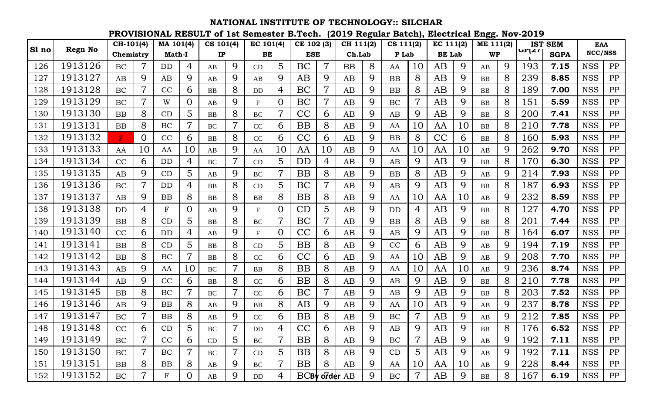|       |                | CH-101(4) |                | MA 101(4)     |                | CS 101(4) |                | EC 101(4)    |                | CE 102 (3)    |                | CH 111(2) |             | CS 111(2) |                | EC 111(2)     |             | ME 111(2)  |   |       | <b>IST SEM</b> | <b>EAA</b> |            |
|-------|----------------|-----------|----------------|---------------|----------------|-----------|----------------|--------------|----------------|---------------|----------------|-----------|-------------|-----------|----------------|---------------|-------------|------------|---|-------|----------------|------------|------------|
| Sl no | <b>Regn No</b> | Chemistry |                | <b>Math-I</b> |                | IP        |                | BE           |                | <b>ESE</b>    |                | Ch.Lab    |             | P Lab     |                | <b>BE</b> Lab |             | <b>WP</b>  |   | GP(Z1 | <b>SGPA</b>    | NCC/NSS    |            |
| 126   | 1913126        | BC        | 7              | DD            | 4              | AB        | 9              | CD           | 5              | BC            | $\overline{7}$ | <b>BB</b> | 8           | AA        | 10             | AB            | 9           | AB         | 9 | 193   | 7.15           | <b>NSS</b> | PP         |
| 127   | 1913127        | AB        | 9              | AB            | 9              | AB        | 9              | AB           | 9              | AB            | 9              | AB        | 9           | BB        | 8              | AB            | 9           | <b>BB</b>  | 8 | 239   | 8.85           | <b>NSS</b> | PP         |
| 128   | 1913128        | BC        | 7              | CC            | 6              | <b>BB</b> | 8              | <b>DD</b>    | 4              | BC            | $\overline{7}$ | AB        | 9           | BB        | 8              | AB            | 9           | <b>BB</b>  | 8 | 189   | 7.00           | <b>NSS</b> | PP         |
| 129   | 1913129        | BC        | 7              | W             | $\Omega$       | AB        | 9              | F            |                | BC            | 7              | AB        | 9           | BC        |                | AB            | $\mathbf Q$ | <b>BB</b>  | 8 | 151   | 5.59           | <b>NSS</b> | PP         |
| 130   | 1913130        | BB        | 8              | CD            | 5              | <b>BB</b> | 8              | <b>BC</b>    |                | CC            | 6              | AB        | 9           | AB        | 9              | AB            | 9           | <b>BB</b>  | 8 | 200   | 7.41           | <b>NSS</b> | PP         |
| 131   | 1913131        | <b>BB</b> | 8              | BC            | $\overline{7}$ | <b>BC</b> | 7              | CC           | 6              | BB            | 8              | AB        | 9           | AA        | 10             | AA            | 10          | <b>BB</b>  | 8 | 210   | 7.78           | <b>NSS</b> | PP         |
| 132   | 1913132        | F         | $\overline{0}$ | CC            | 6              | <b>BB</b> | 8              | CC           | 6              | CC            | 6              | AB        | 9           | BB        | 8              | CC            | 6           | <b>BB</b>  | 8 | 160   | 5.93           | <b>NSS</b> | PP         |
| 133   | 1913133        | AA        | 10             | AA            | 10             | AB        | 9              | AA           | 10             | AA            | 10             | AB        | 9           | AA        | 10             | AA            | 10          | AB         | 9 | 262   | 9.70           | <b>NSS</b> | PP         |
| 134   | 1913134        | CC        | 6              | DD            | 4              | <b>BC</b> |                | CD           | 5              | DD            | 4              | AB        | 9           | AB        | 9              | AB            | 9           | <b>BB</b>  | 8 | 170   | 6.30           | <b>NSS</b> | PP         |
| 135   | 1913135        | AB        | 9              | CD            | 5              | AB        | 9              | <b>BC</b>    |                | BB            | 8              | AB        | 9           | BB        | 8              | AB            | 9           | AB         | 9 | 214   | 7.93           | <b>NSS</b> | ${\rm PP}$ |
| 136   | 1913136        | BC        |                | <b>DD</b>     | 4              | <b>BB</b> | 8              | CD           | 5              | BC            |                | AB        | 9           | AB        | 9              | AB            | 9           | <b>BB</b>  | 8 | 187   | 6.93           | <b>NSS</b> | PP         |
| 137   | 1913137        | AB        | 9              | BB            | 8              | <b>BB</b> | 8              | <b>BB</b>    | 8              | <b>BB</b>     | 8              | AB        | 9           | AA        | 10             | AA            | 10          | AB         | 9 | 232   | 8.59           | <b>NSS</b> | PP         |
| 138   | 1913138        | <b>DD</b> | 4              | $\mathbf F$   | $\Omega$       | AB        | 9              | F            | $\Omega$       | CD            | 5              | AB        | 9           | <b>DD</b> | 4              | AB            | 9           | BB         | 8 | 127   | 4.70           | <b>NSS</b> | PP         |
| 139   | 1913139        | BB        | 8              | CD            | 5              | <b>BB</b> | 8              | <b>BC</b>    |                | BC            | $\overline{7}$ | AB        | 9           | BB        | 8              | AB            | 9           | <b>BB</b>  | 8 | 201   | 7.44           | <b>NSS</b> | PP         |
| 140   | 1913140        | CC        | 6              | <b>DD</b>     | 4              | AB        | 9              | $\mathbf{F}$ | $\Omega$       | CC            | 6              | AB        | 9           | AB        | 9              | AB            | 9           | BB         | 8 | 164   | 6.07           | <b>NSS</b> | PP         |
| 141   | 1913141        | <b>BB</b> | 8              | CD            | 5              | BB        | 8              | CD           | 5              | BB            | 8              | AB        | 9           | CC        | 6              | AB            | 9           | AB         | 9 | 194   | 7.19           | <b>NSS</b> | PP         |
| 142   | 1913142        | <b>BB</b> | 8              | BC            | $\overline{7}$ | <b>BB</b> | 8              | CC           | 6              | CC            | 6              | AB        | 9           | AA        | 10             | AB            | 9           | AB         | 9 | 208   | 7.70           | <b>NSS</b> | PP         |
| 143   | 1913143        | AB        | 9              | AA            | 10             | BC        | $\overline{7}$ | <b>BB</b>    | 8              | BB            | 8              | AB        | 9           | AA        | 10             | AA            | 10          | AB         | 9 | 236   | 8.74           | <b>NSS</b> | PP         |
| 144   | 1913144        | AB        | 9              | CC            | 6              | <b>BB</b> | 8              | CC           | 6              | BB            | 8              | AB        | 9           | AB        | 9              | AB            | 9           | <b>BB</b>  | 8 | 210   | 7.78           | <b>NSS</b> | PP         |
| 145   | 1913145        | <b>BB</b> | 8              | BC            | $\overline{7}$ | <b>BC</b> | 7              | CC           | 6              | BC            | $\overline{7}$ | AB        | 9           | AB        | 9              | AB            | 9           | <b>BB</b>  | 8 | 203   | 7.52           | <b>NSS</b> | PP         |
| 146   | 1913146        | AB        | 9              | BB            | 8              | AB        | 9              | <b>BB</b>    | 8              | AB            | 9              | AB        | 9           | AA        | 10             | AB            | 9           | AB         | 9 | 237   | 8.78           | <b>NSS</b> | PP         |
| 147   | 1913147        | BC        |                | BB            | 8              | AB        | 9              | CC           | 6              | BB            | 8              | <b>AB</b> | 9           | BC        |                | AB            | 9           | AB         | 9 | 212   | 7.85           | <b>NSS</b> | PP         |
| 148   | 1913148        | $\rm CC$  | 6              | CD            | $\overline{5}$ | $\rm BC$  | 7              | DD           | 4              | CC            | 6              | AB        | $\mathbf Q$ | AB        | $\mathbf Q$    | AB            | $\mathbf Q$ | ${\bf BB}$ | 8 | 176   | 6.52           | <b>NSS</b> | PP         |
| 149   | 1913149        | BC        | $\overline{7}$ | CC            | 6              | CD        | $5^{\circ}$    | BC           | $\overline{7}$ | <b>BB</b>     | 8              | AB        | 9           | BC        | $\overline{7}$ | AB            | 9           | AB         | 9 | 192   | 7.11           | <b>NSS</b> | PP         |
| 150   | 1913150        | BC        |                | BC            | $\overline{7}$ | $\rm BC$  | 7              | CD           | 5              | <b>BB</b>     | 8              | AB        | 9           | CD        | 5 <sup>5</sup> | AB            | 9           | AB         | 9 | 192   | 7.11           | <b>NSS</b> | ${\rm PP}$ |
| 151   | 1913151        | BB        | 8              | BB            | 8              | AB        | 9              | BC           | 7              | <b>BB</b>     | 8              | AB        | 9           | AA        | 10             | AA            | 10          | AB         | 9 | 228   | 8.44           | <b>NSS</b> | PP         |
| 152   | 1913152        | BC        | $\overline{7}$ | $\mathbf F$   | $\overline{0}$ | AB        | 9              | DD           | 4              | BCBy order AB |                |           | 9           | BC        |                | AB            | 9           | ${\bf BB}$ | 8 | 167   | 6.19           | <b>NSS</b> | PP         |